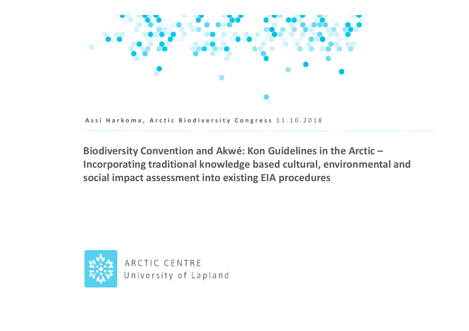

Assi Harkoma, Arctic Biodiversity Congress 11.10.2018

**Biodiversity Convention and Akwé: Kon Guidelines in the Arctic – Incorporating traditional knowledge based cultural, environmental and social impact assessment into existing EIA procedures**



ARCTIC CENTRE University of Lapland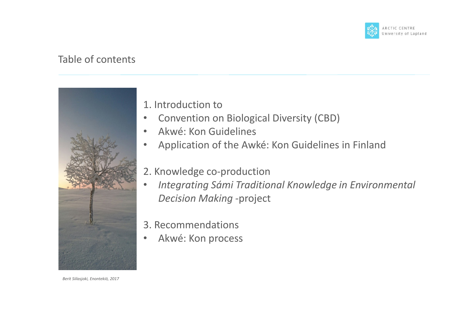

#### Table of contents



*Berit Siilasjoki, Enontekiö, 2017*

#### 1. Introduction to

- Convention on Biological Diversity (CBD)
- Akwé: Kon Guidelines
- Application of the Awké: Kon Guidelines in Finland
- 2. Knowledge co-production
- *Integrating Sámi Traditional Knowledge in Environmental Decision Making -*project
- 3. Recommendations
- Akwé: Kon process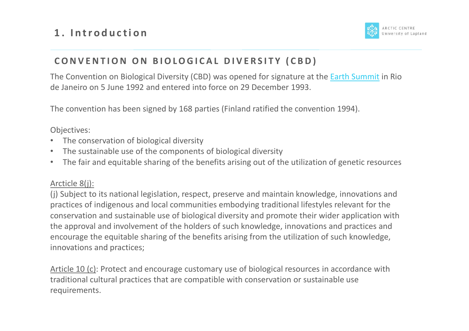

#### **CONVENTION ON BIOLOGICAL DIVERSITY (CBD)**

The Convention on Biological Diversity (CBD) was opened for signature at the Earth Summit in Rio de Janeiro on 5 June 1992 and entered into force on 29 December 1993.

The convention has been signed by 168 parties (Finland ratified the convention 1994).

Objectives:

- The conservation of biological diversity
- The sustainable use of the components of biological diversity
- The fair and equitable sharing of the benefits arising out of the utilization of genetic resources

#### Arcticle 8(j):

(j) Subject to its national legislation, respect, preserve and maintain knowledge, innovations and practices of indigenous and local communities embodying traditional lifestyles relevant for the conservation and sustainable use of biological diversity and promote their wider application with the approval and involvement of the holders of such knowledge, innovations and practices and encourage the equitable sharing of the benefits arising from the utilization of such knowledge, innovations and practices;

Article 10 (c): Protect and encourage customary use of biological resources in accordance with traditional cultural practices that are compatible with conservation or sustainable use requirements.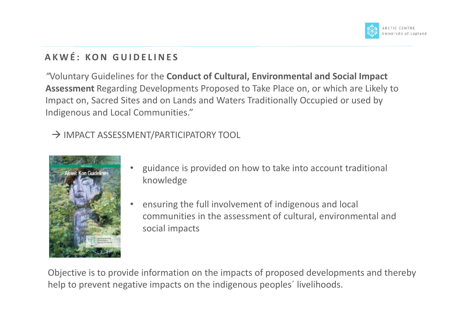

## **A K W É : K O N G U I D E L I N E S**

*"*Voluntary Guidelines for the **Conduct of Cultural, Environmental and Social Impact Assessment** Regarding Developments Proposed to Take Place on, or which are Likely to Impact on, Sacred Sites and on Lands and Waters Traditionally Occupied or used by Indigenous and Local Communities."

→ IMPACT ASSESSMENT/PARTICIPATORY TOOL



- guidance is provided on how to take into account traditional knowledge
- ensuring the full involvement of indigenous and local communities in the assessment of cultural, environmental and social impacts

Objective is to provide information on the impacts of proposed developments and thereby help to prevent negative impacts on the indigenous peoples´ livelihoods.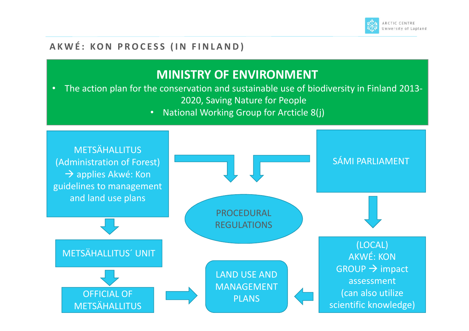

#### A K W É : K O N P R O C E S S (IN FIN L A N D )

## **MINISTRY OF ENVIRONMENT**

• The action plan for the conservation and sustainable use of biodiversity in Finland 2013- 2020, Saving Nature for People

• National Working Group for Arcticle 8(j)

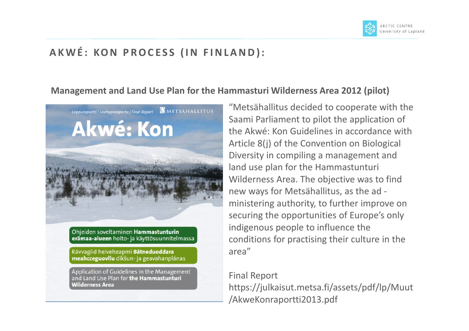

## **AKWÉ: KON PROCESS (IN FINLAND):**

#### **Management and Land Use Plan for the Hammasturi Wilderness Area 2012 (pilot)**



Ohjeiden soveltaminen Hammastunturin erämaa-alueen hoito- ja käyttösuunnitelmassa

Rávvagiid heiveheapmi Bátneduoddara meahcceguovllu dikšun- ja geavahanplánas

Application of Guidelines in the Management and Land Use Plan for **the Hammastunturi Wilderness Area** 

"Metsähallitus decided to cooperate with the Saami Parliament to pilot the application of the Akwé: Kon Guidelines in accordance with Article 8(j) of the Convention on Biological Diversity in compiling a management and land use plan for the Hammastunturi Wilderness Area. The objective was to find new ways for Metsähallitus, as the ad ministering authority, to further improve on securing the opportunities of Europe's only indigenous people to influence the conditions for practising their culture in the area"

#### Final Report https://julkaisut.metsa.fi/assets/pdf/lp/Muut /AkweKonraportti2013.pdf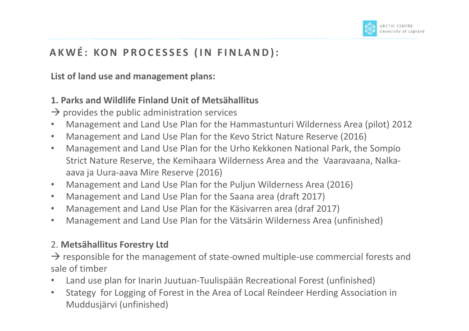## A K W É : KO N P R O CESSES (IN FIN LAND) :

**List of land use and management plans:** 

#### **1. Parks and Wildlife Finland Unit of Metsähallitus**

- $\rightarrow$  provides the public administration services
- Management and Land Use Plan for the Hammastunturi Wilderness Area (pilot) 2012
- Management and Land Use Plan for the Kevo Strict Nature Reserve (2016)
- Management and Land Use Plan for the Urho Kekkonen National Park, the Sompio Strict Nature Reserve, the Kemihaara Wilderness Area and the Vaaravaana, Nalkaaava ja Uura-aava Mire Reserve (2016)
- Management and Land Use Plan for the Puljun Wilderness Area (2016)
- Management and Land Use Plan for the Saana area (draft 2017)
- Management and Land Use Plan for the Käsivarren area (draf 2017)
- Management and Land Use Plan for the Vätsärin Wilderness Area (unfinished)

#### 2. **Metsähallitus Forestry Ltd**

 $\rightarrow$  responsible for the management of state-owned multiple-use commercial forests and sale of timber

- Land use plan for Inarin Juutuan-Tuulispään Recreational Forest (unfinished)
- Stategy for Logging of Forest in the Area of Local Reindeer Herding Association in Muddusjärvi (unfinished)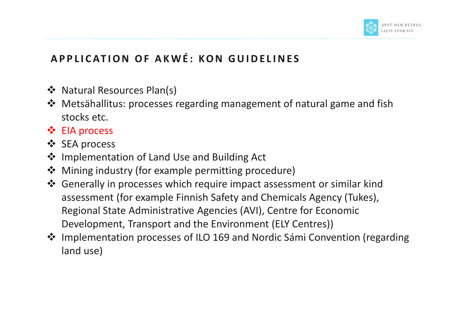

## **APPLICATION OF AKWÉ: KON GUIDELINES**

- ❖ Natural Resources Plan(s)
- Metsähallitus: processes regarding management of natural game and fish stocks etc.
- $\div$  EIA process
- ❖ SEA process
- ❖ Implementation of Land Use and Building Act
- **❖** Mining industry (for example permitting procedure)
- Generally in processes which require impact assessment or similar kind assessment (for example Finnish Safety and Chemicals Agency (Tukes), Regional State Administrative Agencies (AVI), Centre for Economic Development, Transport and the Environment (ELY Centres))
- Implementation processes of ILO 169 and Nordic Sámi Convention (regarding land use)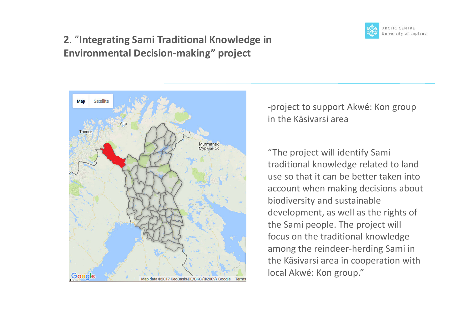

### **2**. "**Integrating Sami Traditional Knowledge in Environmental Decision-making" project**



**-**project to support Akwé: Kon group in the Käsivarsi area

"The project will identify Sami traditional knowledge related to land use so that it can be better taken into account when making decisions about biodiversity and sustainable development, as well as the rights of the Sami people. The project will focus on the traditional knowledge among the reindeer-herding Sami in the Käsivarsi area in cooperation with local Akwé: Kon group."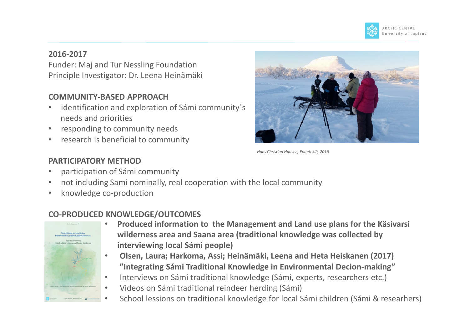

#### **2016-2017**

Funder: Maj and Tur Nessling Foundation Principle Investigator: Dr. Leena Heinämäki

#### **COMMUNITY-BASED APPROACH**

- identification and exploration of Sámi community's needs and priorities
- responding to community needs
- research is beneficial to community



*Hans Christian Hansen, Enontekiö, 2016*

#### **PARTICIPATORY METHOD**

- participation of Sámi community
- not including Sami nominally, real cooperation with the local community
- knowledge co-production

#### **CO-PRODUCED KNOWLEDGE/OUTCOMES**



- **Produced information to the Management and Land use plans for the Käsivarsi wilderness area and Saana area (traditional knowledge was collected by interviewing local Sámi people)**
- **Olsen, Laura; Harkoma, Assi; Heinämäki, Leena and Heta Heiskanen (2017) "Integrating Sámi Traditional Knowledge in Environmental Decion-making"**
- Interviews on Sámi traditional knowledge (Sámi, experts, researchers etc.)
- Videos on Sámi traditional reindeer herding (Sámi)
- School lessions on traditional knowledge for local Sámi children (Sámi & researhers)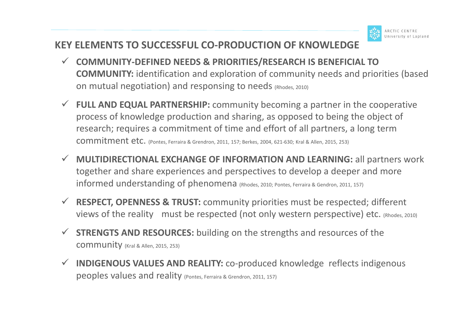### **KEY ELEMENTS TO SUCCESSFUL CO-PRODUCTION OF KNOWLEDGE**

- **COMMUNITY-DEFINED NEEDS & PRIORITIES/RESEARCH IS BENEFICIAL TO COMMUNITY:** identification and exploration of community needs and priorities (based on mutual negotiation) and responsing to needs (Rhodes, 2010)
- **FULL AND EQUAL PARTNERSHIP:** community becoming a partner in the cooperative process of knowledge production and sharing, as opposed to being the object of research; requires a commitment of time and effort of all partners, a long term commitment etc. (Pontes, Ferraira & Grendron, 2011, 157; Berkes, 2004, 621-630; Kral & Allen, 2015, 253)
- **MULTIDIRECTIONAL EXCHANGE OF INFORMATION AND LEARNING:** all partners work together and share experiences and perspectives to develop a deeper and more informed understanding of phenomena (Rhodes, 2010; Pontes, Ferraira & Gendron, 2011, 157)
- **RESPECT, OPENNESS & TRUST:** community priorities must be respected; different views of the reality must be respected (not only western perspective) etc. (Rhodes, 2010)
- **STRENGTS AND RESOURCES:** building on the strengths and resources of the community (Kral & Allen, 2015, 253)
- **INDIGENOUS VALUES AND REALITY:** co-produced knowledge reflects indigenous peoples values and reality (Pontes, Ferraira & Grendron, 2011, 157)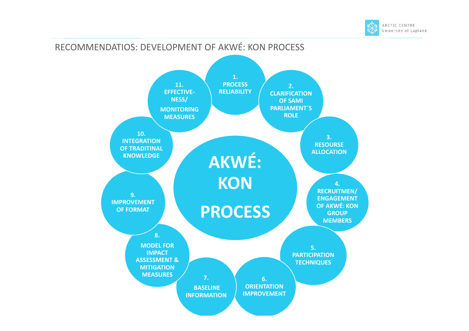

#### RECOMMENDATIOS: DEVELOPMENT OF AKWÉ: KON PROCESS **AKWÉ: KON PROCESS 1. PROCESS RELIABILITY 2. CLARIFICATION OF SAMI PARLIAMENT´S ROLE 3. RESOURSE ALLOCATION 4. RECRUITMEN/ ENGAGEMENT OF AKWÉ: KON GROUP MEMBERS 5. PARTICIPATION TECHNIQUES 6. ORIENTATION IMPROVEMENT 7. BASELINE INFORMATION 8. MODEL FOR IMPACT ASSESSMENT & MITIGATION MEASURES 9. IMPROVEMENT OF FORMAT 10. INTEGRATION OF TRADITINAL KNOWLEDGE 11. EFFECTIVE-NESS/ MONITORING MEASURES**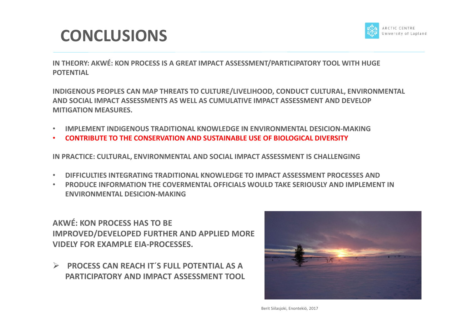## **CONCLUSIONS**



**IN THEORY: AKWÉ: KON PROCESS IS A GREAT IMPACT ASSESSMENT/PARTICIPATORY TOOL WITH HUGE POTENTIAL** 

**INDIGENOUS PEOPLES CAN MAP THREATS TO CULTURE/LIVELIHOOD, CONDUCT CULTURAL, ENVIRONMENTAL AND SOCIAL IMPACT ASSESSMENTS AS WELL AS CUMULATIVE IMPACT ASSESSMENT AND DEVELOP MITIGATION MEASURES.** 

- **IMPLEMENT INDIGENOUS TRADITIONAL KNOWLEDGE IN ENVIRONMENTAL DESICION-MAKING**
- **CONTRIBUTE TO THE CONSERVATION AND SUSTAINABLE USE OF BIOLOGICAL DIVERSITY**

**IN PRACTICE: CULTURAL, ENVIRONMENTAL AND SOCIAL IMPACT ASSESSMENT IS CHALLENGING**

- **DIFFICULTIES INTEGRATING TRADITIONAL KNOWLEDGE TO IMPACT ASSESSMENT PROCESSES AND**
- **PRODUCE INFORMATION THE COVERMENTAL OFFICIALS WOULD TAKE SERIOUSLY AND IMPLEMENT IN ENVIRONMENTAL DESICION-MAKING**

**AKWÉ: KON PROCESS HAS TO BE IMPROVED/DEVELOPED FURTHER AND APPLIED MORE VIDELY FOR EXAMPLE EIA-PROCESSES.** 

 **PROCESS CAN REACH IT´S FULL POTENTIAL AS A PARTICIPATORY AND IMPACT ASSESSMENT TOOL** 

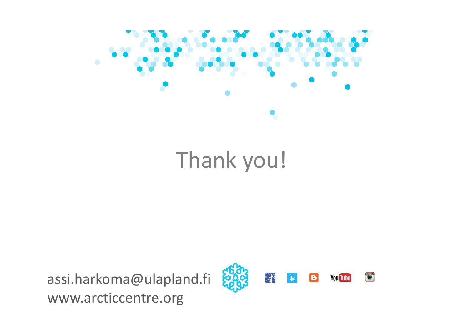

# Thank you!

assi.harkoma@ulapland.fi www.arcticcentre.org